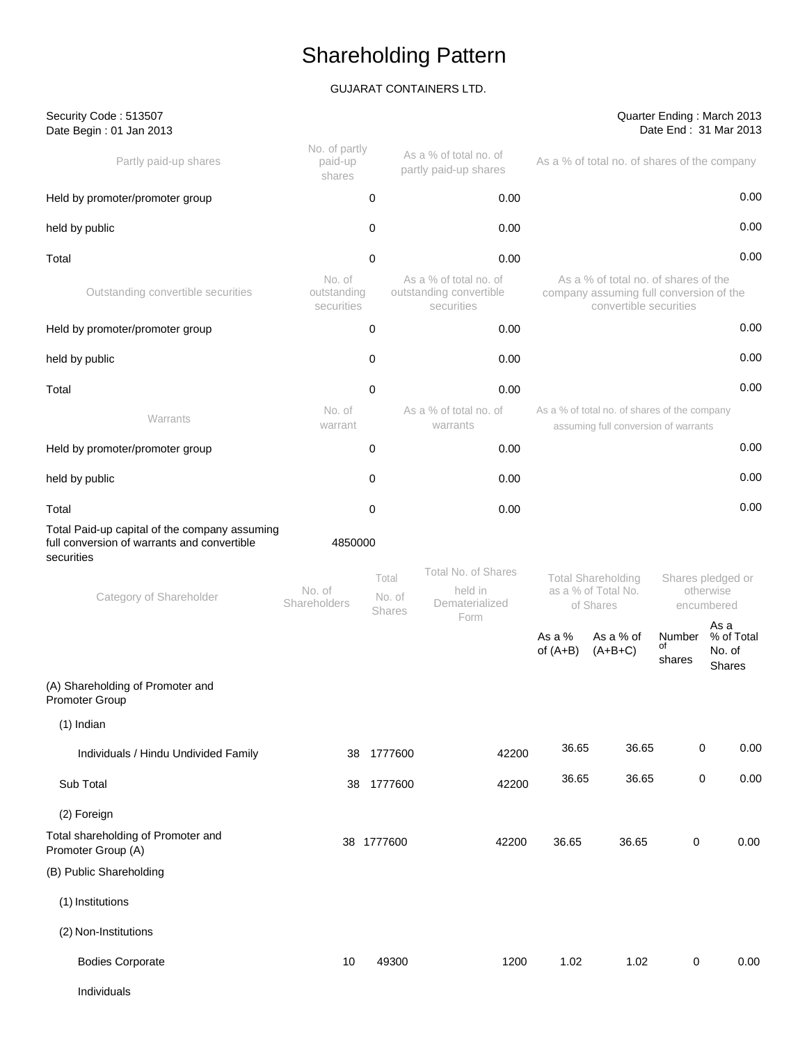## GUJARAT CONTAINERS LTD.

Security Code : 513507

#### Quarter Ending : March 2013 Date End : 31 Mar 2013

| Date Begin: 01 Jan 2013                                                                                                               |                                     |                 |                                                                 |                      |                                                                                                           |                        | Date End: 31 Mar 2013                        |
|---------------------------------------------------------------------------------------------------------------------------------------|-------------------------------------|-----------------|-----------------------------------------------------------------|----------------------|-----------------------------------------------------------------------------------------------------------|------------------------|----------------------------------------------|
| Partly paid-up shares                                                                                                                 | No. of partly<br>paid-up<br>shares  |                 | As a % of total no. of<br>partly paid-up shares                 |                      | As a % of total no. of shares of the company                                                              |                        |                                              |
| Held by promoter/promoter group                                                                                                       |                                     | 0               | 0.00                                                            |                      |                                                                                                           |                        | 0.00                                         |
| held by public                                                                                                                        |                                     | 0               | 0.00                                                            |                      |                                                                                                           |                        | 0.00                                         |
| Total                                                                                                                                 |                                     | 0               | 0.00                                                            |                      |                                                                                                           |                        | 0.00                                         |
| Outstanding convertible securities                                                                                                    | No. of<br>outstanding<br>securities |                 | As a % of total no. of<br>outstanding convertible<br>securities |                      | As a % of total no, of shares of the<br>company assuming full conversion of the<br>convertible securities |                        |                                              |
| Held by promoter/promoter group                                                                                                       |                                     | 0               | 0.00                                                            |                      |                                                                                                           |                        | 0.00                                         |
| held by public                                                                                                                        |                                     | 0               | 0.00                                                            |                      |                                                                                                           |                        | 0.00                                         |
| Total                                                                                                                                 |                                     | 0               | 0.00                                                            |                      |                                                                                                           |                        | 0.00                                         |
| Warrants                                                                                                                              | No. of<br>warrant                   |                 | As a % of total no. of<br>warrants                              |                      | As a % of total no. of shares of the company<br>assuming full conversion of warrants                      |                        |                                              |
| Held by promoter/promoter group                                                                                                       |                                     | 0               | 0.00                                                            |                      |                                                                                                           |                        | 0.00                                         |
| held by public                                                                                                                        |                                     | 0               | 0.00                                                            |                      |                                                                                                           |                        | 0.00                                         |
| Total                                                                                                                                 |                                     | 0               | 0.00                                                            |                      |                                                                                                           |                        | 0.00                                         |
| Total Paid-up capital of the company assuming<br>full conversion of warrants and convertible<br>securities<br>Category of Shareholder | 4850000<br>No. of<br>Shareholders   | Total<br>No. of | Total No. of Shares<br>held in<br>Dematerialized                |                      | <b>Total Shareholding</b><br>as a % of Total No.<br>of Shares                                             |                        | Shares pledged or<br>otherwise<br>encumbered |
|                                                                                                                                       |                                     | Shares          | Form                                                            | As a %<br>of $(A+B)$ | As a % of<br>$(A+B+C)$                                                                                    | Number<br>of<br>shares | As a<br>% of Total<br>No. of<br>Shares       |
| (A) Shareholding of Promoter and<br>Promoter Group                                                                                    |                                     |                 |                                                                 |                      |                                                                                                           |                        |                                              |
| $(1)$ Indian                                                                                                                          |                                     |                 |                                                                 |                      |                                                                                                           |                        |                                              |
| Individuals / Hindu Undivided Family                                                                                                  | 38                                  | 1777600         | 42200                                                           | 36.65                | 36.65                                                                                                     | 0                      | 0.00                                         |
| Sub Total                                                                                                                             | 38                                  | 1777600         | 42200                                                           | 36.65                | 36.65                                                                                                     | 0                      | 0.00                                         |
| (2) Foreign                                                                                                                           |                                     |                 |                                                                 |                      |                                                                                                           |                        |                                              |
| Total shareholding of Promoter and<br>Promoter Group (A)                                                                              |                                     | 38 1777600      | 42200                                                           | 36.65                | 36.65                                                                                                     | 0                      | 0.00                                         |
| (B) Public Shareholding                                                                                                               |                                     |                 |                                                                 |                      |                                                                                                           |                        |                                              |
| (1) Institutions                                                                                                                      |                                     |                 |                                                                 |                      |                                                                                                           |                        |                                              |
| (2) Non-Institutions                                                                                                                  |                                     |                 |                                                                 |                      |                                                                                                           |                        |                                              |
| <b>Bodies Corporate</b>                                                                                                               | 10                                  | 49300           | 1200                                                            | 1.02                 | 1.02                                                                                                      | 0                      | 0.00                                         |
| Individuals                                                                                                                           |                                     |                 |                                                                 |                      |                                                                                                           |                        |                                              |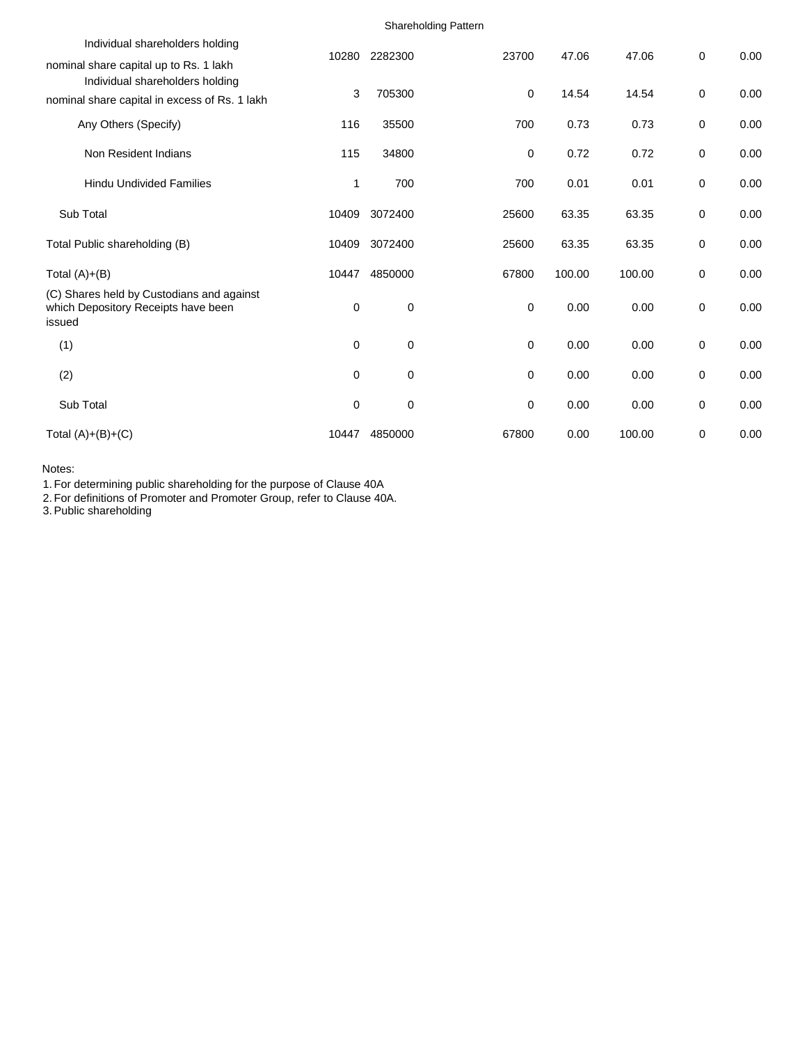|                                                                                                                            |             |         | <b>Shareholding Pattern</b> |        |        |             |      |
|----------------------------------------------------------------------------------------------------------------------------|-------------|---------|-----------------------------|--------|--------|-------------|------|
| Individual shareholders holding                                                                                            | 10280       | 2282300 | 23700                       | 47.06  | 47.06  | 0           | 0.00 |
| nominal share capital up to Rs. 1 lakh<br>Individual shareholders holding<br>nominal share capital in excess of Rs. 1 lakh | 3           | 705300  | 0                           | 14.54  | 14.54  | 0           | 0.00 |
| Any Others (Specify)                                                                                                       | 116         | 35500   | 700                         | 0.73   | 0.73   | 0           | 0.00 |
| Non Resident Indians                                                                                                       | 115         | 34800   | 0                           | 0.72   | 0.72   | 0           | 0.00 |
| <b>Hindu Undivided Families</b>                                                                                            | 1           | 700     | 700                         | 0.01   | 0.01   | 0           | 0.00 |
| Sub Total                                                                                                                  | 10409       | 3072400 | 25600                       | 63.35  | 63.35  | 0           | 0.00 |
| Total Public shareholding (B)                                                                                              | 10409       | 3072400 | 25600                       | 63.35  | 63.35  | 0           | 0.00 |
| Total $(A)+(B)$                                                                                                            | 10447       | 4850000 | 67800                       | 100.00 | 100.00 | 0           | 0.00 |
| (C) Shares held by Custodians and against<br>which Depository Receipts have been<br>issued                                 | $\mathbf 0$ | 0       | $\mathbf 0$                 | 0.00   | 0.00   | 0           | 0.00 |
| (1)                                                                                                                        | $\mathbf 0$ | 0       | 0                           | 0.00   | 0.00   | 0           | 0.00 |
| (2)                                                                                                                        | 0           | 0       | 0                           | 0.00   | 0.00   | 0           | 0.00 |
| Sub Total                                                                                                                  | 0           | 0       | $\mathbf 0$                 | 0.00   | 0.00   | $\mathbf 0$ | 0.00 |
| Total $(A)+(B)+(C)$                                                                                                        | 10447       | 4850000 | 67800                       | 0.00   | 100.00 | $\mathbf 0$ | 0.00 |

Notes:

1. For determining public shareholding for the purpose of Clause 40A

2. For definitions of Promoter and Promoter Group, refer to Clause 40A.

3. Public shareholding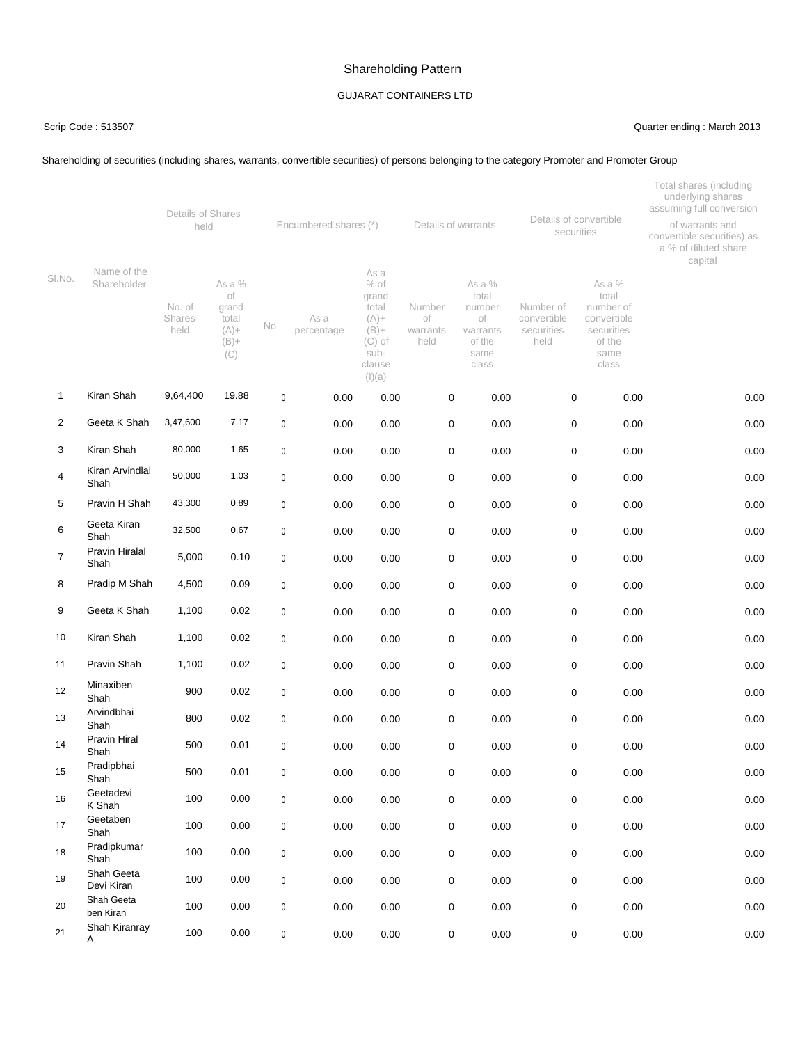### GUJARAT CONTAINERS LTD

#### Scrip Code : 513507 Quarter ending : March 2013

#### Shareholding of securities (including shares, warrants, convertible securities) of persons belonging to the category Promoter and Promoter Group

|                |                            | Details of Shares               |                                                             |           |                       |                                                                                                |                                  |                                                                        |                                                |                                                                                      | Total shares (including<br>underlying shares<br>assuming full conversion |
|----------------|----------------------------|---------------------------------|-------------------------------------------------------------|-----------|-----------------------|------------------------------------------------------------------------------------------------|----------------------------------|------------------------------------------------------------------------|------------------------------------------------|--------------------------------------------------------------------------------------|--------------------------------------------------------------------------|
|                | Name of the<br>Shareholder | held                            |                                                             |           | Encumbered shares (*) | Details of warrants                                                                            |                                  | Details of convertible<br>securities                                   |                                                | of warrants and<br>convertible securities) as<br>a % of diluted share<br>capital     |                                                                          |
| SI.No.         |                            | No. of<br><b>Shares</b><br>held | As a %<br>of<br>grand<br>total<br>$(A) +$<br>$(B) +$<br>(C) | No        | As a<br>percentage    | As a<br>$%$ of<br>grand<br>total<br>$(A) +$<br>$(B) +$<br>$(C)$ of<br>sub-<br>clause<br>(l)(a) | Number<br>οf<br>warrants<br>held | As a %<br>total<br>number<br>of<br>warrants<br>of the<br>same<br>class | Number of<br>convertible<br>securities<br>held | As a %<br>total<br>number of<br>convertible<br>securities<br>of the<br>same<br>class |                                                                          |
| 1              | Kiran Shah                 | 9,64,400                        | 19.88                                                       | $\pmb{0}$ | 0.00                  | 0.00                                                                                           | 0                                | 0.00                                                                   | 0                                              | 0.00                                                                                 | 0.00                                                                     |
| $\overline{2}$ | Geeta K Shah               | 3,47,600                        | 7.17                                                        | $\pmb{0}$ | 0.00                  | 0.00                                                                                           | 0                                | 0.00                                                                   | 0                                              | 0.00                                                                                 | 0.00                                                                     |
| 3              | Kiran Shah                 | 80,000                          | 1.65                                                        | $\pmb{0}$ | 0.00                  | 0.00                                                                                           | 0                                | 0.00                                                                   | 0                                              | 0.00                                                                                 | 0.00                                                                     |
| 4              | Kiran Arvindlal<br>Shah    | 50,000                          | 1.03                                                        | $\pmb{0}$ | 0.00                  | 0.00                                                                                           | 0                                | 0.00                                                                   | 0                                              | 0.00                                                                                 | 0.00                                                                     |
| 5              | Pravin H Shah              | 43,300                          | 0.89                                                        | $\pmb{0}$ | 0.00                  | 0.00                                                                                           | 0                                | 0.00                                                                   | 0                                              | 0.00                                                                                 | 0.00                                                                     |
| 6              | Geeta Kiran<br>Shah        | 32,500                          | 0.67                                                        | $\pmb{0}$ | 0.00                  | 0.00                                                                                           | 0                                | 0.00                                                                   | 0                                              | 0.00                                                                                 | 0.00                                                                     |
| 7              | Pravin Hiralal<br>Shah     | 5,000                           | 0.10                                                        | $\pmb{0}$ | 0.00                  | 0.00                                                                                           | 0                                | 0.00                                                                   | 0                                              | 0.00                                                                                 | 0.00                                                                     |
| 8              | Pradip M Shah              | 4,500                           | 0.09                                                        | $\pmb{0}$ | 0.00                  | 0.00                                                                                           | 0                                | 0.00                                                                   | 0                                              | 0.00                                                                                 | 0.00                                                                     |
| 9              | Geeta K Shah               | 1,100                           | 0.02                                                        | $\pmb{0}$ | 0.00                  | 0.00                                                                                           | 0                                | 0.00                                                                   | 0                                              | 0.00                                                                                 | 0.00                                                                     |
| 10             | Kiran Shah                 | 1,100                           | 0.02                                                        | $\pmb{0}$ | 0.00                  | 0.00                                                                                           | 0                                | 0.00                                                                   | 0                                              | 0.00                                                                                 | 0.00                                                                     |
| 11             | Pravin Shah                | 1,100                           | 0.02                                                        | $\pmb{0}$ | 0.00                  | 0.00                                                                                           | 0                                | 0.00                                                                   | 0                                              | 0.00                                                                                 | 0.00                                                                     |
| 12             | Minaxiben<br>Shah          | 900                             | 0.02                                                        | 0         | 0.00                  | 0.00                                                                                           | 0                                | 0.00                                                                   | 0                                              | 0.00                                                                                 | 0.00                                                                     |
| 13             | Arvindbhai<br>Shah         | 800                             | 0.02                                                        | $\pmb{0}$ | 0.00                  | 0.00                                                                                           | 0                                | 0.00                                                                   | 0                                              | 0.00                                                                                 | 0.00                                                                     |
| 14             | Pravin Hiral<br>Shah       | 500                             | 0.01                                                        | 0         | 0.00                  | 0.00                                                                                           | 0                                | 0.00                                                                   | 0                                              | 0.00                                                                                 | 0.00                                                                     |
| 15             | Pradipbhai<br>Shah         | 500                             | 0.01                                                        | 0         | 0.00                  | 0.00                                                                                           | 0                                | 0.00                                                                   | 0                                              | 0.00                                                                                 | 0.00                                                                     |
| 16             | Geetadevi<br>K Shah        | 100                             | 0.00                                                        | $\pmb{0}$ | 0.00                  | 0.00                                                                                           | 0                                | 0.00                                                                   | $\mathsf 0$                                    | 0.00                                                                                 | 0.00                                                                     |
| 17             | Geetaben<br>Shah           | 100                             | 0.00                                                        | $\pmb{0}$ | 0.00                  | 0.00                                                                                           | 0                                | 0.00                                                                   | $\mathsf 0$                                    | 0.00                                                                                 | 0.00                                                                     |
| 18             | Pradipkumar<br>Shah        | 100                             | 0.00                                                        | $\pmb{0}$ | 0.00                  | 0.00                                                                                           | 0                                | 0.00                                                                   | 0                                              | 0.00                                                                                 | 0.00                                                                     |
| 19             | Shah Geeta<br>Devi Kiran   | 100                             | 0.00                                                        | $\pmb{0}$ | 0.00                  | 0.00                                                                                           | 0                                | 0.00                                                                   | 0                                              | 0.00                                                                                 | 0.00                                                                     |
| 20             | Shah Geeta<br>ben Kiran    | 100                             | 0.00                                                        | $\pmb{0}$ | 0.00                  | 0.00                                                                                           | 0                                | 0.00                                                                   | 0                                              | 0.00                                                                                 | 0.00                                                                     |
| 21             | Shah Kiranray<br>Α         | 100                             | 0.00                                                        | $\pmb{0}$ | 0.00                  | 0.00                                                                                           | 0                                | $0.00\,$                                                               | 0                                              | 0.00                                                                                 | 0.00                                                                     |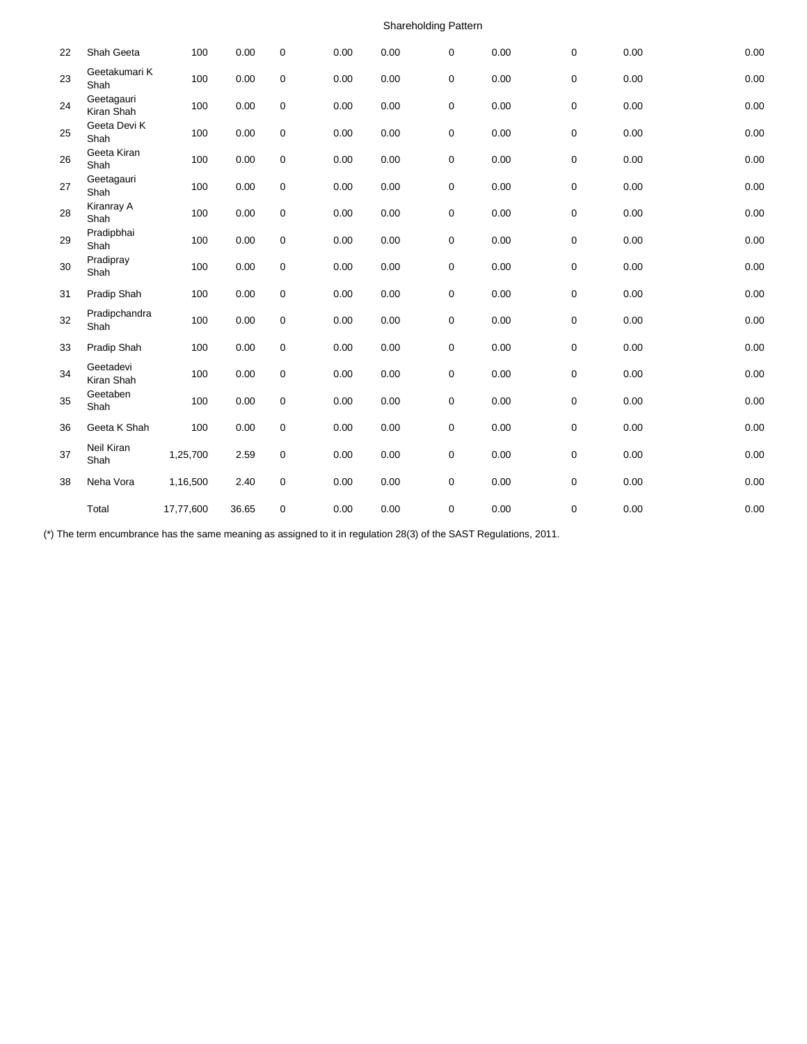| 22 | Shah Geeta               | 100       | 0.00  | $\mathbf 0$ | 0.00 | 0.00 | 0 | 0.00 | 0 | 0.00 | 0.00 |
|----|--------------------------|-----------|-------|-------------|------|------|---|------|---|------|------|
| 23 | Geetakumari K<br>Shah    | 100       | 0.00  | 0           | 0.00 | 0.00 | 0 | 0.00 | 0 | 0.00 | 0.00 |
| 24 | Geetagauri<br>Kiran Shah | 100       | 0.00  | 0           | 0.00 | 0.00 | 0 | 0.00 | 0 | 0.00 | 0.00 |
| 25 | Geeta Devi K<br>Shah     | 100       | 0.00  | 0           | 0.00 | 0.00 | 0 | 0.00 | 0 | 0.00 | 0.00 |
| 26 | Geeta Kiran<br>Shah      | 100       | 0.00  | 0           | 0.00 | 0.00 | 0 | 0.00 | 0 | 0.00 | 0.00 |
| 27 | Geetagauri<br>Shah       | 100       | 0.00  | 0           | 0.00 | 0.00 | 0 | 0.00 | 0 | 0.00 | 0.00 |
| 28 | Kiranray A<br>Shah       | 100       | 0.00  | $\pmb{0}$   | 0.00 | 0.00 | 0 | 0.00 | 0 | 0.00 | 0.00 |
| 29 | Pradipbhai<br>Shah       | 100       | 0.00  | 0           | 0.00 | 0.00 | 0 | 0.00 | 0 | 0.00 | 0.00 |
| 30 | Pradipray<br>Shah        | 100       | 0.00  | 0           | 0.00 | 0.00 | 0 | 0.00 | 0 | 0.00 | 0.00 |
| 31 | Pradip Shah              | 100       | 0.00  | 0           | 0.00 | 0.00 | 0 | 0.00 | 0 | 0.00 | 0.00 |
| 32 | Pradipchandra<br>Shah    | 100       | 0.00  | 0           | 0.00 | 0.00 | 0 | 0.00 | 0 | 0.00 | 0.00 |
| 33 | Pradip Shah              | 100       | 0.00  | 0           | 0.00 | 0.00 | 0 | 0.00 | 0 | 0.00 | 0.00 |
| 34 | Geetadevi<br>Kiran Shah  | 100       | 0.00  | 0           | 0.00 | 0.00 | 0 | 0.00 | 0 | 0.00 | 0.00 |
| 35 | Geetaben<br>Shah         | 100       | 0.00  | 0           | 0.00 | 0.00 | 0 | 0.00 | 0 | 0.00 | 0.00 |
| 36 | Geeta K Shah             | 100       | 0.00  | 0           | 0.00 | 0.00 | 0 | 0.00 | 0 | 0.00 | 0.00 |
| 37 | Neil Kiran<br>Shah       | 1,25,700  | 2.59  | 0           | 0.00 | 0.00 | 0 | 0.00 | 0 | 0.00 | 0.00 |
| 38 | Neha Vora                | 1,16,500  | 2.40  | 0           | 0.00 | 0.00 | 0 | 0.00 | 0 | 0.00 | 0.00 |
|    | Total                    | 17,77,600 | 36.65 | 0           | 0.00 | 0.00 | 0 | 0.00 | 0 | 0.00 | 0.00 |

(\*) The term encumbrance has the same meaning as assigned to it in regulation 28(3) of the SAST Regulations, 2011.